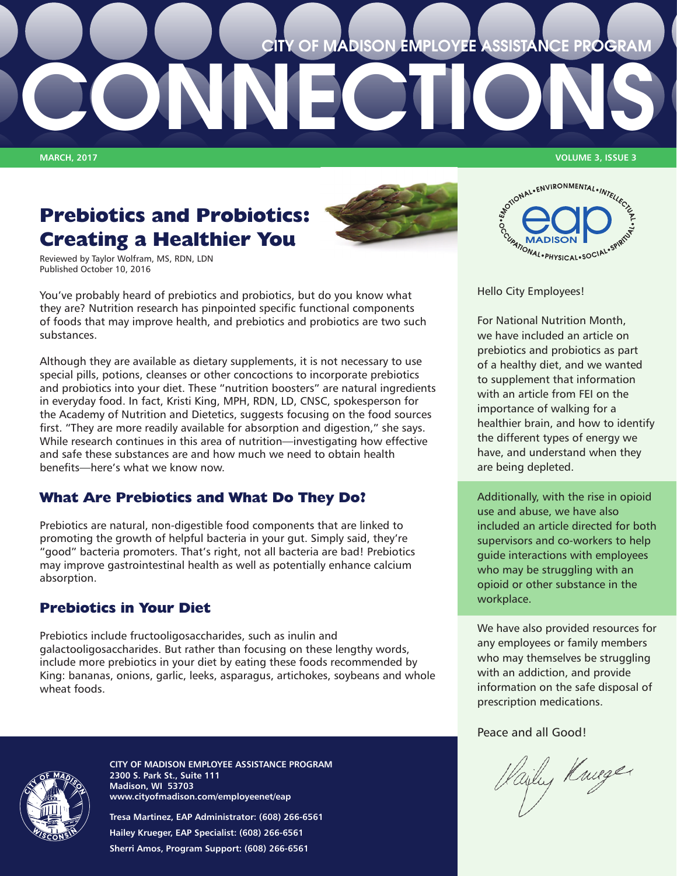# **CITY OF MADISON EMPLOYEE ASSISTANCE PROGRAM**

**MARCH, 2017 VOLUME 3, ISSUE 3**

# **Prebiotics and Probiotics: Creating a Healthier You**

Reviewed by Taylor Wolfram, MS, RDN, LDN Published October 10, 2016

You've probably heard of prebiotics and probiotics, but do you know what they are? Nutrition research has pinpointed specific functional components of foods that may improve health, and prebiotics and probiotics are two such substances.

Although they are available as dietary supplements, it is not necessary to use special pills, potions, cleanses or other concoctions to incorporate prebiotics and probiotics into your diet. These "nutrition boosters" are natural ingredients in everyday food. In fact, Kristi King, MPH, RDN, LD, CNSC, spokesperson for the Academy of Nutrition and Dietetics, suggests focusing on the food sources first. "They are more readily available for absorption and digestion," she says. While research continues in this area of nutrition—investigating how effective and safe these substances are and how much we need to obtain health benefits—here's what we know now.

## **What Are Prebiotics and What Do They Do?**

Prebiotics are natural, non-digestible food components that are linked to promoting the growth of helpful bacteria in your gut. Simply said, they're "good" bacteria promoters. That's right, not all bacteria are bad! Prebiotics may improve gastrointestinal health as well as potentially enhance calcium absorption.

#### **Prebiotics in Your Diet**

Prebiotics include fructooligosaccharides, such as inulin and galactooligosaccharides. But rather than focusing on these lengthy words, include more prebiotics in your diet by eating these foods recommended by King: bananas, onions, garlic, leeks, asparagus, artichokes, soybeans and whole wheat foods.



**CITY OF MADISON EMPLOYEE ASSISTANCE PROGRAM 2300 S. Park St., Suite 111 Madison, WI 53703 www.cityofmadison.com/employeenet/eap**

**Tresa Martinez, EAP Administrator: (608) 266-6561 Hailey Krueger, EAP Specialist: (608) 266-6561 Sherri Amos, Program Support: (608) 266-6561**



**CONNECTIONS**

ASTONAL . ENVIRONMENTAL . INTELLECTION

Hello City Employees!

For National Nutrition Month, we have included an article on prebiotics and probiotics as part of a healthy diet, and we wanted to supplement that information with an article from FEI on the importance of walking for a healthier brain, and how to identify the different types of energy we have, and understand when they are being depleted.

Additionally, with the rise in opioid use and abuse, we have also included an article directed for both supervisors and co-workers to help guide interactions with employees who may be struggling with an opioid or other substance in the workplace.

We have also provided resources for any employees or family members who may themselves be struggling with an addiction, and provide information on the safe disposal of prescription medications.

#### Peace and all Good!

Hailey Kniger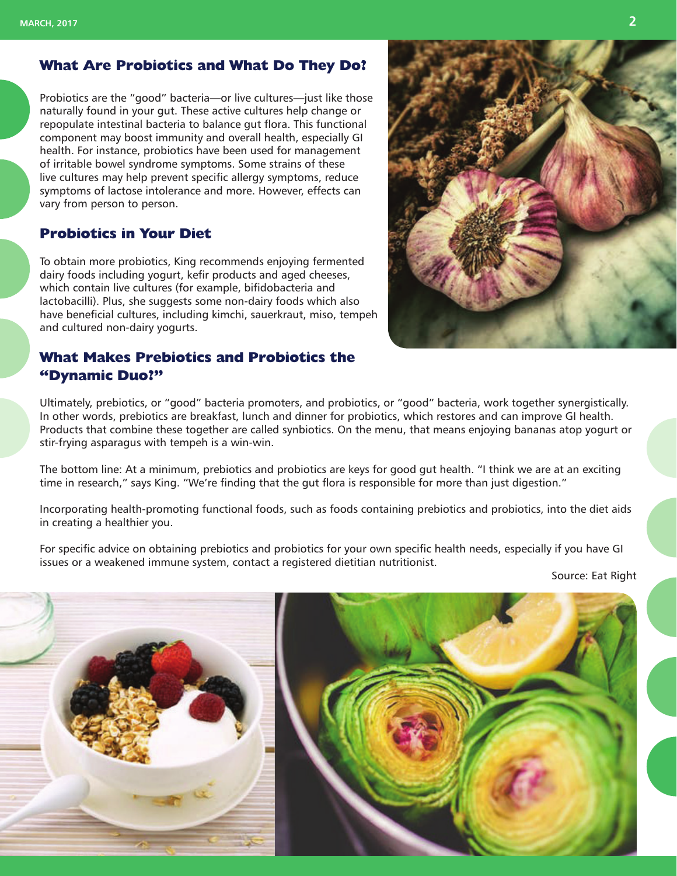### **What Are Probiotics and What Do They Do?**

Probiotics are the "good" bacteria—or live cultures—just like those naturally found in your gut. These active cultures help change or repopulate intestinal bacteria to balance gut flora. This functional component may boost immunity and overall health, especially GI health. For instance, probiotics have been used for management of irritable bowel syndrome symptoms. Some strains of these live cultures may help prevent specific allergy symptoms, reduce symptoms of lactose intolerance and more. However, effects can vary from person to person.

#### **Probiotics in Your Diet**

To obtain more probiotics, King recommends enjoying fermented dairy foods including yogurt, kefir products and aged cheeses, which contain live cultures (for example, bifidobacteria and lactobacilli). Plus, she suggests some non-dairy foods which also have beneficial cultures, including kimchi, sauerkraut, miso, tempeh and cultured non-dairy yogurts.

## **What Makes Prebiotics and Probiotics the "Dynamic Duo?"**

Ultimately, prebiotics, or "good" bacteria promoters, and probiotics, or "good" bacteria, work together synergistically. In other words, prebiotics are breakfast, lunch and dinner for probiotics, which restores and can improve GI health. Products that combine these together are called synbiotics. On the menu, that means enjoying bananas atop yogurt or stir-frying asparagus with tempeh is a win-win.

The bottom line: At a minimum, prebiotics and probiotics are keys for good gut health. "I think we are at an exciting time in research," says King. "We're finding that the gut flora is responsible for more than just digestion."

Incorporating health-promoting functional foods, such as foods containing prebiotics and probiotics, into the diet aids in creating a healthier you.

For specific advice on obtaining prebiotics and probiotics for your own specific health needs, especially if you have GI issues or a weakened immune system, contact a registered dietitian nutritionist.

Source: [Eat Right](http://www.eatright.org/resource/food/vitamins-and-supplements/nutrient-rich-foods/prebiotics-and-probiotics-the-dynamic-duo)

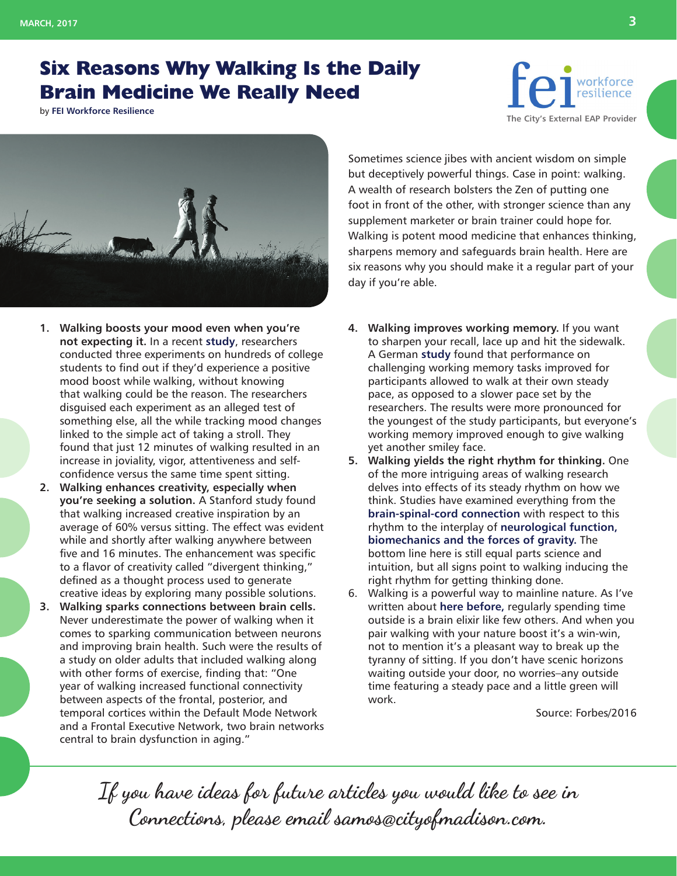# **Six Reasons Why Walking Is the Daily Brain Medicine We Really Need**

by **[FEI Workforce Resilience](http://feieap.com/poc/view_doc.php?type=news&id=179403&cn=1)**

**[The City's External EAP Provider](http://feieap.com/poc/view_doc.php?type=news&id=179403&cn=1)**



- Sometimes science jibes with ancient wisdom on simple but deceptively powerful things. Case in point: walking. A wealth of research bolsters the Zen of putting one foot in front of the other, with stronger science than any supplement marketer or brain trainer could hope for. Walking is potent mood medicine that enhances thinking, sharpens memory and safeguards brain health. Here are six reasons why you should make it a regular part of your day if you're able.
- **1. Walking boosts your mood even when you're not expecting it.** In a recent **[study](https://www.ncbi.nlm.nih.gov/pubmed/27100368)**, researchers conducted three experiments on hundreds of college students to find out if they'd experience a positive mood boost while walking, without knowing that walking could be the reason. The researchers disguised each experiment as an alleged test of something else, all the while tracking mood changes linked to the simple act of taking a stroll. They found that just 12 minutes of walking resulted in an increase in joviality, vigor, attentiveness and selfconfidence versus the same time spent sitting.
- **2. Walking enhances creativity, especially when you're seeking a solution.** A Stanford study found that walking increased creative inspiration by an average of 60% versus sitting. The effect was evident while and shortly after walking anywhere between five and 16 minutes. The enhancement was specific to a flavor of creativity called "divergent thinking," defined as a thought process used to generate creative ideas by exploring many possible solutions.
- **3. Walking sparks connections between brain cells.** Never underestimate the power of walking when it comes to sparking communication between neurons and improving brain health. Such were the results of a study on older adults that included walking along with other forms of exercise, finding that: "One year of walking increased functional connectivity between aspects of the frontal, posterior, and temporal cortices within the Default Mode Network and a Frontal Executive Network, two brain networks central to brain dysfunction in aging."
- **4. Walking improves working memory.** If you want to sharpen your recall, lace up and hit the sidewalk. A German **[study](http://www.tandfonline.com/doi/abs/10.1080/17405620802535666?journalCode=pedp20)** found that performance on challenging working memory tasks improved for participants allowed to walk at their own steady pace, as opposed to a slower pace set by the researchers. The results were more pronounced for the youngest of the study participants, but everyone's working memory improved enough to give walking yet another smiley face.
- **5. Walking yields the right rhythm for thinking.** One of the more intriguing areas of walking research delves into effects of its steady rhythm on how we think. Studies have examined everything from the **[brain-spinal-cord connection](http://nro.sagepub.com/content/12/5/379.abstract)** with respect to this rhythm to the interplay of **[neurological function,](http://www.amnacademy.com/the-walking-brain/)  [biomechanics and the forces of gravity.](http://www.amnacademy.com/the-walking-brain/)** The bottom line here is still equal parts science and intuition, but all signs point to walking inducing the right rhythm for getting thinking done.
- 6. Walking is a powerful way to mainline nature. As I've written about **[here before,](http://www.forbes.com/sites/daviddisalvo/2016/07/25/try-a-weekly-dose-of-nature-to-boost-mental-and-physical-health/#617c25e83c9b)** regularly spending time outside is a brain elixir like few others. And when you pair walking with your nature boost it's a win-win, not to mention it's a pleasant way to break up the tyranny of sitting. If you don't have scenic horizons waiting outside your door, no worries–any outside time featuring a steady pace and a little green will work.

Source: Forbes/2016

**If you have ideas for future articles you would like to see in Connections, please email samos@cityofmadison.com.**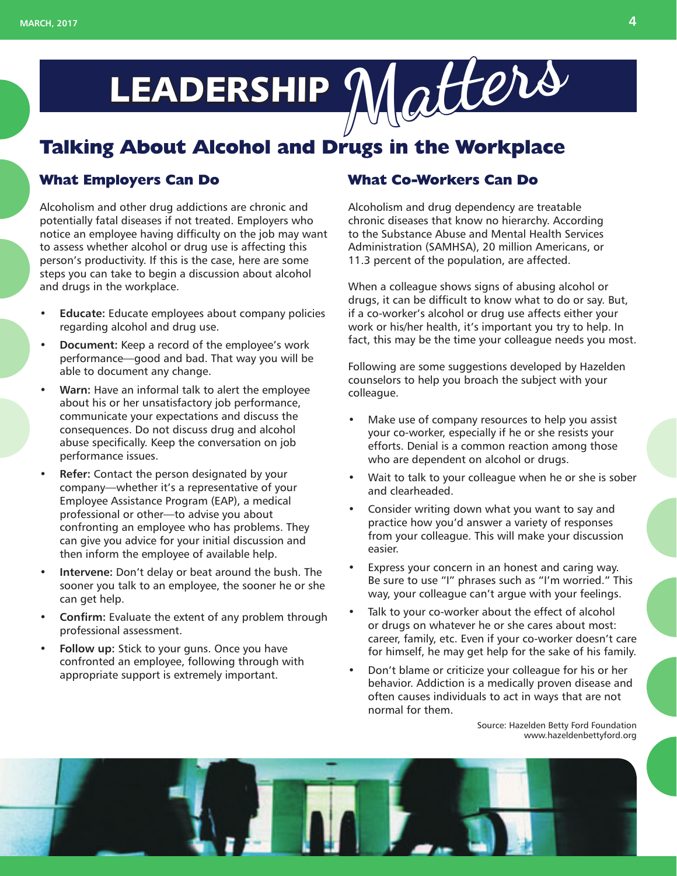# LEADERSHIP **Matters**

# **Talking About Alcohol and Drugs in the Workplace**

## **What Employers Can Do**

Alcoholism and other drug addictions are chronic and potentially fatal diseases if not treated. Employers who notice an employee having difficulty on the job may want to assess whether alcohol or drug use is affecting this person's productivity. If this is the case, here are some steps you can take to begin a discussion about alcohol and drugs in the workplace.

- **• Educate:** Educate employees about company policies regarding alcohol and drug use.
- **• Document:** Keep a record of the employee's work performance—good and bad. That way you will be able to document any change.
- **• Warn:** Have an informal talk to alert the employee about his or her unsatisfactory job performance, communicate your expectations and discuss the consequences. Do not discuss drug and alcohol abuse specifically. Keep the conversation on job performance issues.
- **• Refer:** Contact the person designated by your company—whether it's a representative of your Employee Assistance Program (EAP), a medical professional or other—to advise you about confronting an employee who has problems. They can give you advice for your initial discussion and then inform the employee of available help.
- **• Intervene:** Don't delay or beat around the bush. The sooner you talk to an employee, the sooner he or she can get help.
- **• Confirm:** Evaluate the extent of any problem through professional assessment.
- **• Follow up:** Stick to your guns. Once you have confronted an employee, following through with appropriate support is extremely important.

## **What Co-Workers Can Do**

Alcoholism and drug dependency are treatable chronic diseases that know no hierarchy. According to the Substance Abuse and Mental Health Services Administration (SAMHSA), 20 million Americans, or 11.3 percent of the population, are affected.

When a colleague shows signs of abusing alcohol or drugs, it can be difficult to know what to do or say. But, if a co-worker's alcohol or drug use affects either your work or his/her health, it's important you try to help. In fact, this may be the time your colleague needs you most.

Following are some suggestions developed by Hazelden counselors to help you broach the subject with your colleague.

- Make use of company resources to help you assist your co-worker, especially if he or she resists your efforts. Denial is a common reaction among those who are dependent on alcohol or drugs.
- Wait to talk to your colleague when he or she is sober and clearheaded.
- Consider writing down what you want to say and practice how you'd answer a variety of responses from your colleague. This will make your discussion easier.
- Express your concern in an honest and caring way. Be sure to use "I" phrases such as "I'm worried." This way, your colleague can't argue with your feelings.
- Talk to your co-worker about the effect of alcohol or drugs on whatever he or she cares about most: career, family, etc. Even if your co-worker doesn't care for himself, he may get help for the sake of his family.
- Don't blame or criticize your colleague for his or her behavior. Addiction is a medically proven disease and often causes individuals to act in ways that are not normal for them.

Source: [Hazelden Betty Ford Foundation](www.hazeldenbettyford.org) www.hazeldenbettyford.org

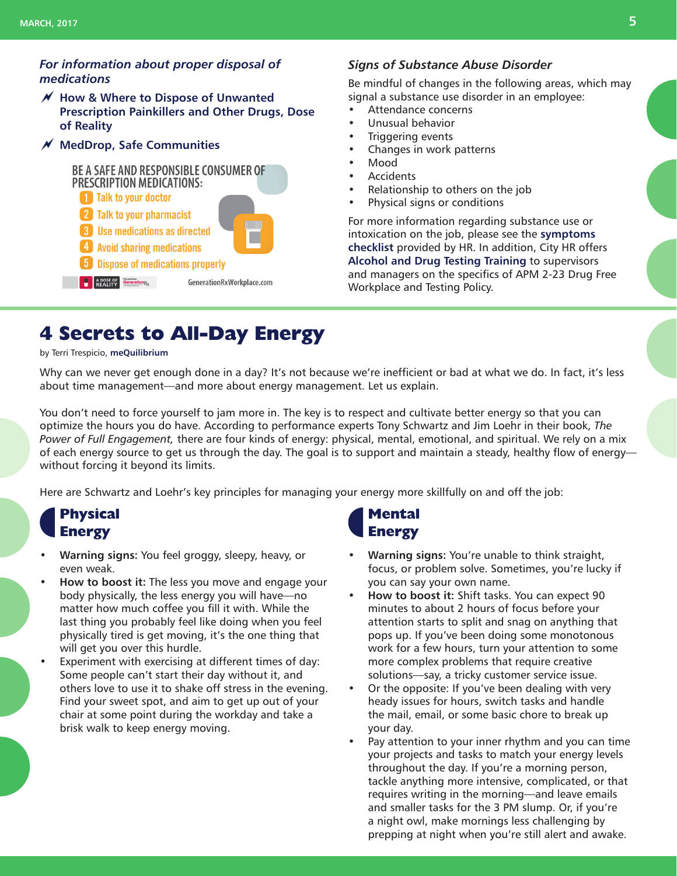#### *For information about proper disposal of medications*

- **A** How & Where to Dispose of Unwanted **[Prescription Painkillers and Other Drugs,](http://doseofrealitywi.gov/drug-takeback/) Dose of Reality**
- a **[MedDrop, Safe Communities](https://safercommunity.net/meddrop/)**



## *Signs of Substance Abuse Disorder*

Be mindful of changes in the following areas, which may signal a substance use disorder in an employee:

- Attendance concerns
- Unusual behavior
- Triggering events
- Changes in work patterns
- Mood
- **Accidents**
- Relationship to others on the job
- Physical signs or conditions

For more information regarding substance use or intoxication on the job, please see the **[symptoms](http://www.cityofmadison.com/mayor/apm/hr/APM2-23ReasSuspicionInstructChecklist.pdf)  [checklist](http://www.cityofmadison.com/mayor/apm/hr/APM2-23ReasSuspicionInstructChecklist.pdf)** provided by HR. In addition, City HR offers **[Alcohol and Drug Testing Training](http://www.cityofmadison.com/Employeenet/hr/edoe/courses.cfm#AlcoholTesting)** to supervisors and managers on the specifics of APM 2-23 Drug Free Workplace and Testing Policy.

# **4 Secrets to All-Day Energy**

by Terri Trespicio, **[meQuilibrium](http://www.mequilibrium.com/)**

Why can we never get enough done in a day? It's not because we're inefficient or bad at what we do. In fact, it's less about time management—and more about energy management. Let us explain.

You don't need to force yourself to jam more in. The key is to respect and cultivate better energy so that you can optimize the hours you do have. According to performance experts Tony Schwartz and Jim Loehr in their book, *The Power of Full Engagement,* there are four kinds of energy: physical, mental, emotional, and spiritual. We rely on a mix of each energy source to get us through the day. The goal is to support and maintain a steady, healthy flow of energy without forcing it beyond its limits.

Here are Schwartz and Loehr's key principles for managing your energy more skillfully on and off the job:

# **Physical Energy**

- **• Warning signs:** You feel groggy, sleepy, heavy, or even weak.
- **• How to boost it:** The less you move and engage your body physically, the less energy you will have—no matter how much coffee you fill it with. While the last thing you probably feel like doing when you feel physically tired is get moving, it's the one thing that will get you over this hurdle.
- Experiment with exercising at different times of day: Some people can't start their day without it, and others love to use it to shake off stress in the evening. Find your sweet spot, and aim to get up out of your chair at some point during the workday and take a brisk walk to keep energy moving.



- **• Warning signs:** You're unable to think straight, focus, or problem solve. Sometimes, you're lucky if you can say your own name.
- **• How to boost it:** Shift tasks. You can expect 90 minutes to about 2 hours of focus before your attention starts to split and snag on anything that pops up. If you've been doing some monotonous work for a few hours, turn your attention to some more complex problems that require creative solutions—say, a tricky customer service issue.
- Or the opposite: If you've been dealing with very heady issues for hours, switch tasks and handle the mail, email, or some basic chore to break up your day.
- Pay attention to your inner rhythm and you can time your projects and tasks to match your energy levels throughout the day. If you're a morning person, tackle anything more intensive, complicated, or that requires writing in the morning—and leave emails and smaller tasks for the 3 PM slump. Or, if you're a night owl, make mornings less challenging by prepping at night when you're still alert and awake.